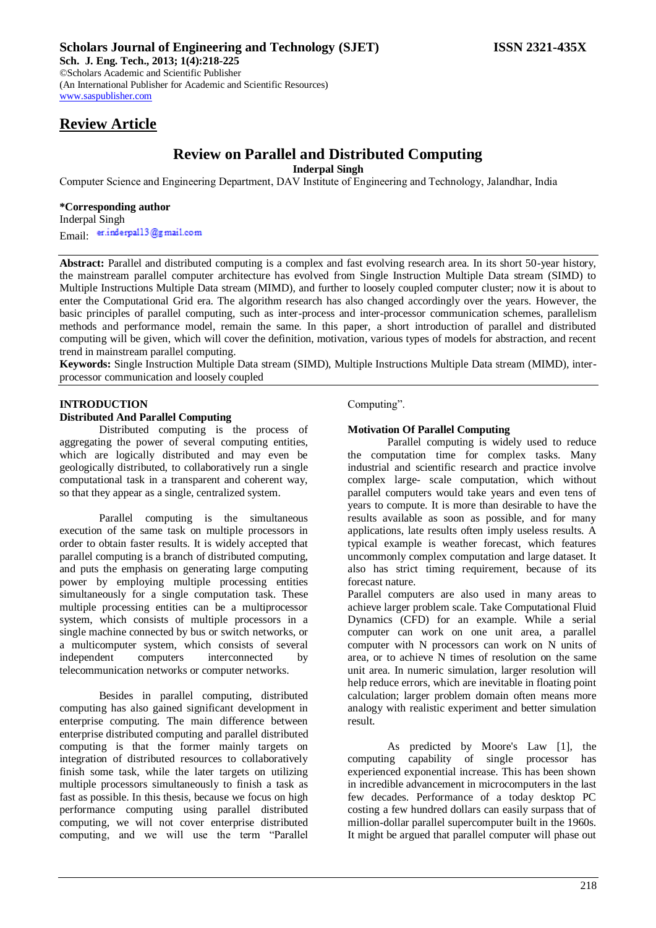**Sch. J. Eng. Tech., 2013; 1(4):218-225** ©Scholars Academic and Scientific Publisher (An International Publisher for Academic and Scientific Resources) [www.saspublisher.com](http://www.saspublisher.com/)

# **Review Article**

# **Review on Parallel and Distributed Computing**

**Inderpal Singh**

Computer Science and Engineering Department, DAV Institute of Engineering and Technology, Jalandhar, India

#### **\*Corresponding author**

Inderpal Singh Email: er.inderpall3@gmail.com

**Abstract:** Parallel and distributed computing is a complex and fast evolving research area. In its short 50-year history, the mainstream parallel computer architecture has evolved from Single Instruction Multiple Data stream (SIMD) to Multiple Instructions Multiple Data stream (MIMD), and further to loosely coupled computer cluster; now it is about to enter the Computational Grid era. The algorithm research has also changed accordingly over the years. However, the basic principles of parallel computing, such as inter-process and inter-processor communication schemes, parallelism methods and performance model, remain the same. In this paper, a short introduction of parallel and distributed computing will be given, which will cover the definition, motivation, various types of models for abstraction, and recent trend in mainstream parallel computing.

**Keywords:** Single Instruction Multiple Data stream (SIMD), Multiple Instructions Multiple Data stream (MIMD), interprocessor communication and loosely coupled

# **INTRODUCTION Distributed And Parallel Computing**

Distributed computing is the process of aggregating the power of several computing entities, which are logically distributed and may even be geologically distributed, to collaboratively run a single computational task in a transparent and coherent way, so that they appear as a single, centralized system.

Parallel computing is the simultaneous execution of the same task on multiple processors in order to obtain faster results. It is widely accepted that parallel computing is a branch of distributed computing, and puts the emphasis on generating large computing power by employing multiple processing entities simultaneously for a single computation task. These multiple processing entities can be a multiprocessor system, which consists of multiple processors in a single machine connected by bus or switch networks, or a multicomputer system, which consists of several independent computers interconnected by telecommunication networks or computer networks.

Besides in parallel computing, distributed computing has also gained significant development in enterprise computing. The main difference between enterprise distributed computing and parallel distributed computing is that the former mainly targets on integration of distributed resources to collaboratively finish some task, while the later targets on utilizing multiple processors simultaneously to finish a task as fast as possible. In this thesis, because we focus on high performance computing using parallel distributed computing, we will not cover enterprise distributed computing, and we will use the term "Parallel

Computing".

#### **Motivation Of Parallel Computing**

Parallel computing is widely used to reduce the computation time for complex tasks. Many industrial and scientific research and practice involve complex large- scale computation, which without parallel computers would take years and even tens of years to compute. It is more than desirable to have the results available as soon as possible, and for many applications, late results often imply useless results. A typical example is weather forecast, which features uncommonly complex computation and large dataset. It also has strict timing requirement, because of its forecast nature.

Parallel computers are also used in many areas to achieve larger problem scale. Take Computational Fluid Dynamics (CFD) for an example. While a serial computer can work on one unit area, a parallel computer with N processors can work on N units of area, or to achieve N times of resolution on the same unit area. In numeric simulation, larger resolution will help reduce errors, which are inevitable in floating point calculation; larger problem domain often means more analogy with realistic experiment and better simulation result.

As predicted by Moore's Law [1], the computing capability of single processor has experienced exponential increase. This has been shown in incredible advancement in microcomputers in the last few decades. Performance of a today desktop PC costing a few hundred dollars can easily surpass that of million-dollar parallel supercomputer built in the 1960s. It might be argued that parallel computer will phase out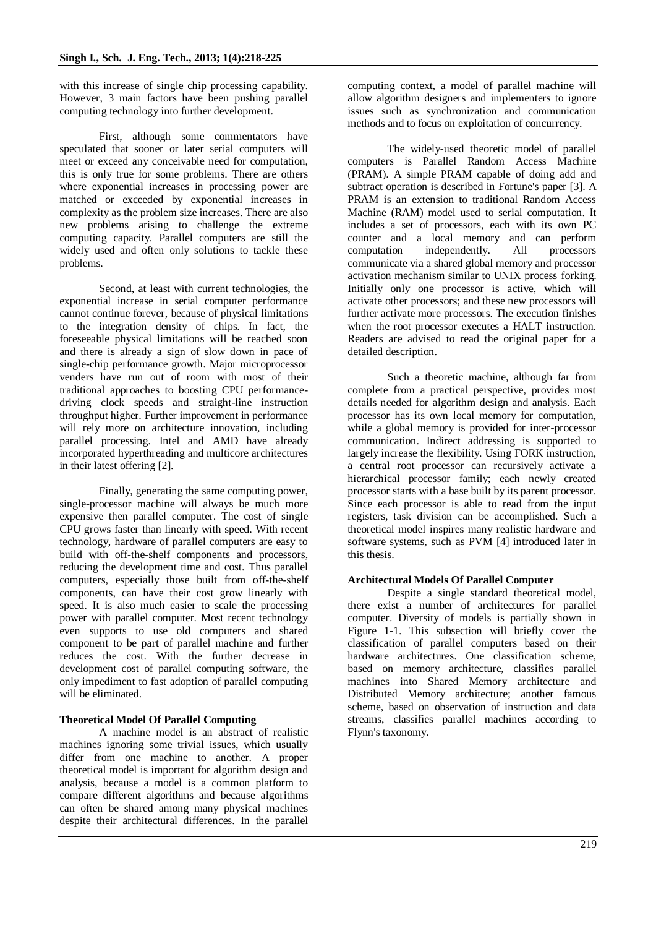with this increase of single chip processing capability. However, 3 main factors have been pushing parallel computing technology into further development.

First, although some commentators have speculated that sooner or later serial computers will meet or exceed any conceivable need for computation, this is only true for some problems. There are others where exponential increases in processing power are matched or exceeded by exponential increases in complexity as the problem size increases. There are also new problems arising to challenge the extreme computing capacity. Parallel computers are still the widely used and often only solutions to tackle these problems.

Second, at least with current technologies, the exponential increase in serial computer performance cannot continue forever, because of physical limitations to the integration density of chips. In fact, the foreseeable physical limitations will be reached soon and there is already a sign of slow down in pace of single-chip performance growth. Major microprocessor venders have run out of room with most of their traditional approaches to boosting CPU performancedriving clock speeds and straight-line instruction throughput higher. Further improvement in performance will rely more on architecture innovation, including parallel processing. Intel and AMD have already incorporated hyperthreading and multicore architectures in their latest offering [2].

Finally, generating the same computing power, single-processor machine will always be much more expensive then parallel computer. The cost of single CPU grows faster than linearly with speed. With recent technology, hardware of parallel computers are easy to build with off-the-shelf components and processors, reducing the development time and cost. Thus parallel computers, especially those built from off-the-shelf components, can have their cost grow linearly with speed. It is also much easier to scale the processing power with parallel computer. Most recent technology even supports to use old computers and shared component to be part of parallel machine and further reduces the cost. With the further decrease in development cost of parallel computing software, the only impediment to fast adoption of parallel computing will be eliminated.

# **Theoretical Model Of Parallel Computing**

A machine model is an abstract of realistic machines ignoring some trivial issues, which usually differ from one machine to another. A proper theoretical model is important for algorithm design and analysis, because a model is a common platform to compare different algorithms and because algorithms can often be shared among many physical machines despite their architectural differences. In the parallel

computing context, a model of parallel machine will allow algorithm designers and implementers to ignore issues such as synchronization and communication methods and to focus on exploitation of concurrency.

The widely-used theoretic model of parallel computers is Parallel Random Access Machine (PRAM). A simple PRAM capable of doing add and subtract operation is described in Fortune's paper [3]. A PRAM is an extension to traditional Random Access Machine (RAM) model used to serial computation. It includes a set of processors, each with its own PC counter and a local memory and can perform computation independently. All processors communicate via a shared global memory and processor activation mechanism similar to UNIX process forking. Initially only one processor is active, which will activate other processors; and these new processors will further activate more processors. The execution finishes when the root processor executes a HALT instruction. Readers are advised to read the original paper for a detailed description.

Such a theoretic machine, although far from complete from a practical perspective, provides most details needed for algorithm design and analysis. Each processor has its own local memory for computation, while a global memory is provided for inter-processor communication. Indirect addressing is supported to largely increase the flexibility. Using FORK instruction, a central root processor can recursively activate a hierarchical processor family; each newly created processor starts with a base built by its parent processor. Since each processor is able to read from the input registers, task division can be accomplished. Such a theoretical model inspires many realistic hardware and software systems, such as PVM [4] introduced later in this thesis.

#### **Architectural Models Of Parallel Computer**

Despite a single standard theoretical model, there exist a number of architectures for parallel computer. Diversity of models is partially shown in Figure 1-1. This subsection will briefly cover the classification of parallel computers based on their hardware architectures. One classification scheme, based on memory architecture, classifies parallel machines into Shared Memory architecture and Distributed Memory architecture; another famous scheme, based on observation of instruction and data streams, classifies parallel machines according to Flynn's taxonomy.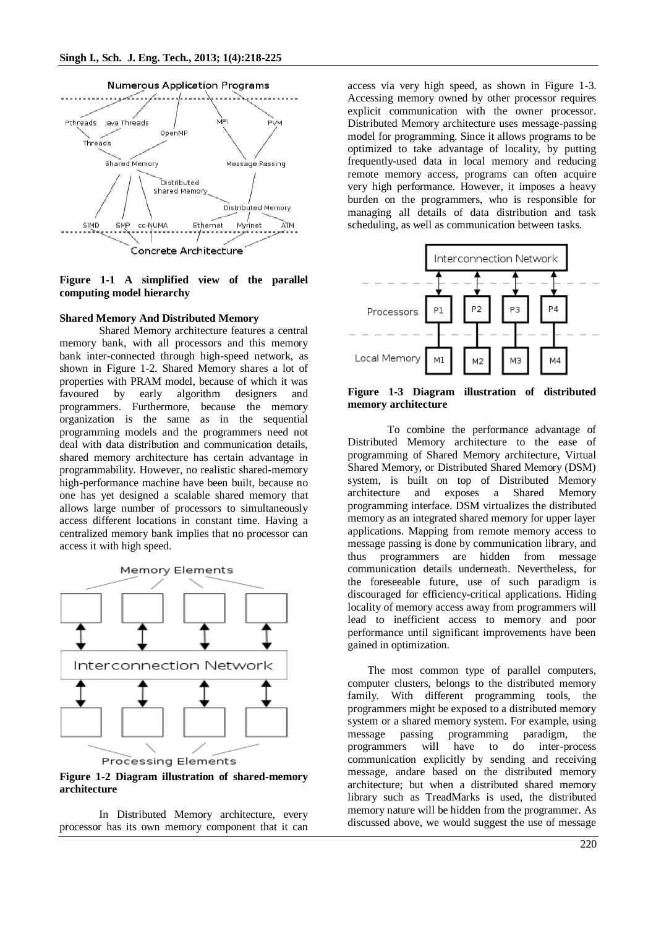

**Figure 1-1 A simplified view of the parallel computing model hierarchy**

#### **Shared Memory And Distributed Memory**

Shared Memory architecture features a central memory bank, with all processors and this memory bank inter-connected through high-speed network, as shown in Figure 1-2. Shared Memory shares a lot of properties with PRAM model, because of which it was favoured by early algorithm designers and programmers. Furthermore, because the memory organization is the same as in the sequential programming models and the programmers need not deal with data distribution and communication details, shared memory architecture has certain advantage in programmability. However, no realistic shared-memory high-performance machine have been built, because no one has yet designed a scalable shared memory that allows large number of processors to simultaneously access different locations in constant time. Having a centralized memory bank implies that no processor can access it with high speed.



Processing Elements

**Figure 1-2 Diagram illustration of shared-memory architecture**

In Distributed Memory architecture, every processor has its own memory component that it can access via very high speed, as shown in Figure 1-3. Accessing memory owned by other processor requires explicit communication with the owner processor. Distributed Memory architecture uses message-passing model for programming. Since it allows programs to be optimized to take advantage of locality, by putting frequently-used data in local memory and reducing remote memory access, programs can often acquire very high performance. However, it imposes a heavy burden on the programmers, who is responsible for managing all details of data distribution and task scheduling, as well as communication between tasks.



**Figure 1-3 Diagram illustration of distributed memory architecture**

To combine the performance advantage of Distributed Memory architecture to the ease of programming of Shared Memory architecture, Virtual Shared Memory, or Distributed Shared Memory (DSM) system, is built on top of Distributed Memory architecture and exposes a Shared Memory programming interface. DSM virtualizes the distributed memory as an integrated shared memory for upper layer applications. Mapping from remote memory access to message passing is done by communication library, and thus programmers are hidden from message communication details underneath. Nevertheless, for the foreseeable future, use of such paradigm is discouraged for efficiency-critical applications. Hiding locality of memory access away from programmers will lead to inefficient access to memory and poor performance until significant improvements have been gained in optimization.

The most common type of parallel computers, computer clusters, belongs to the distributed memory family. With different programming tools, the programmers might be exposed to a distributed memory system or a shared memory system. For example, using message passing programming paradigm, the programmers will have to do inter-process communication explicitly by sending and receiving message, andare based on the distributed memory architecture; but when a distributed shared memory library such as TreadMarks is used, the distributed memory nature will be hidden from the programmer. As discussed above, we would suggest the use of message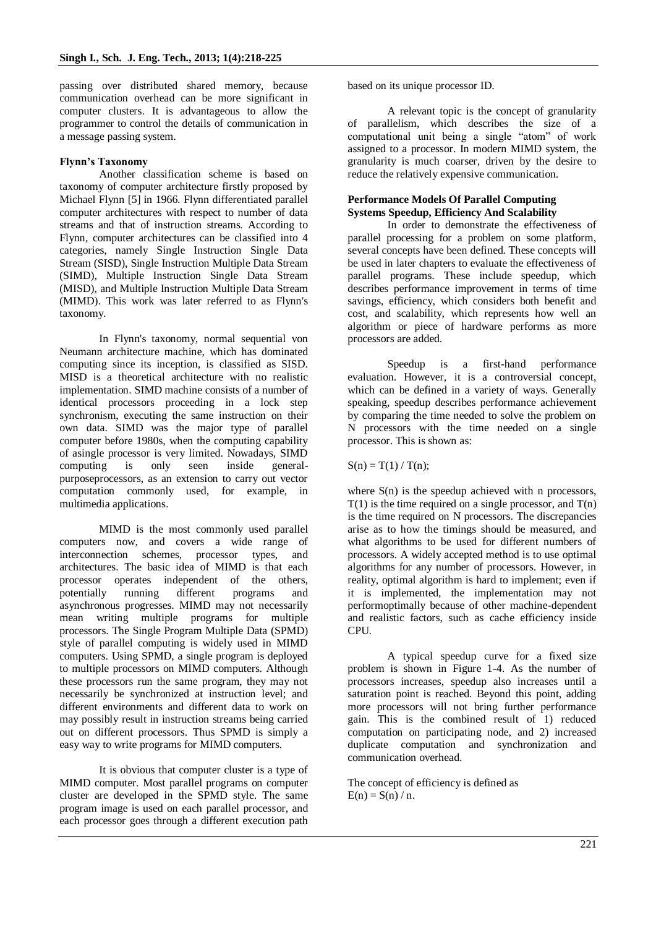passing over distributed shared memory, because communication overhead can be more significant in computer clusters. It is advantageous to allow the programmer to control the details of communication in a message passing system.

### **Flynn's Taxonomy**

Another classification scheme is based on taxonomy of computer architecture firstly proposed by Michael Flynn [5] in 1966. Flynn differentiated parallel computer architectures with respect to number of data streams and that of instruction streams. According to Flynn, computer architectures can be classified into 4 categories, namely Single Instruction Single Data Stream (SISD), Single Instruction Multiple Data Stream (SIMD), Multiple Instruction Single Data Stream (MISD), and Multiple Instruction Multiple Data Stream (MIMD). This work was later referred to as Flynn's taxonomy.

In Flynn's taxonomy, normal sequential von Neumann architecture machine, which has dominated computing since its inception, is classified as SISD. MISD is a theoretical architecture with no realistic implementation. SIMD machine consists of a number of identical processors proceeding in a lock step synchronism, executing the same instruction on their own data. SIMD was the major type of parallel computer before 1980s, when the computing capability of asingle processor is very limited. Nowadays, SIMD computing is only seen inside generalpurposeprocessors, as an extension to carry out vector computation commonly used, for example, in multimedia applications.

MIMD is the most commonly used parallel computers now, and covers a wide range of interconnection schemes, processor types, and architectures. The basic idea of MIMD is that each processor operates independent of the others, potentially running different programs and asynchronous progresses. MIMD may not necessarily mean writing multiple programs for multiple processors. The Single Program Multiple Data (SPMD) style of parallel computing is widely used in MIMD computers. Using SPMD, a single program is deployed to multiple processors on MIMD computers. Although these processors run the same program, they may not necessarily be synchronized at instruction level; and different environments and different data to work on may possibly result in instruction streams being carried out on different processors. Thus SPMD is simply a easy way to write programs for MIMD computers.

It is obvious that computer cluster is a type of MIMD computer. Most parallel programs on computer cluster are developed in the SPMD style. The same program image is used on each parallel processor, and each processor goes through a different execution path

based on its unique processor ID.

A relevant topic is the concept of granularity of parallelism, which describes the size of a computational unit being a single "atom" of work assigned to a processor. In modern MIMD system, the granularity is much coarser, driven by the desire to reduce the relatively expensive communication.

### **Performance Models Of Parallel Computing Systems Speedup, Efficiency And Scalability**

In order to demonstrate the effectiveness of parallel processing for a problem on some platform, several concepts have been defined. These concepts will be used in later chapters to evaluate the effectiveness of parallel programs. These include speedup, which describes performance improvement in terms of time savings, efficiency, which considers both benefit and cost, and scalability, which represents how well an algorithm or piece of hardware performs as more processors are added.

Speedup is a first-hand performance evaluation. However, it is a controversial concept, which can be defined in a variety of ways. Generally speaking, speedup describes performance achievement by comparing the time needed to solve the problem on N processors with the time needed on a single processor. This is shown as:

 $S(n) = T(1) / T(n);$ 

where  $S(n)$  is the speedup achieved with n processors,  $T(1)$  is the time required on a single processor, and  $T(n)$ is the time required on N processors. The discrepancies arise as to how the timings should be measured, and what algorithms to be used for different numbers of processors. A widely accepted method is to use optimal algorithms for any number of processors. However, in reality, optimal algorithm is hard to implement; even if it is implemented, the implementation may not performoptimally because of other machine-dependent and realistic factors, such as cache efficiency inside CPU.

A typical speedup curve for a fixed size problem is shown in Figure 1-4. As the number of processors increases, speedup also increases until a saturation point is reached. Beyond this point, adding more processors will not bring further performance gain. This is the combined result of 1) reduced computation on participating node, and 2) increased duplicate computation and synchronization and communication overhead.

The concept of efficiency is defined as  $E(n) = S(n) / n$ .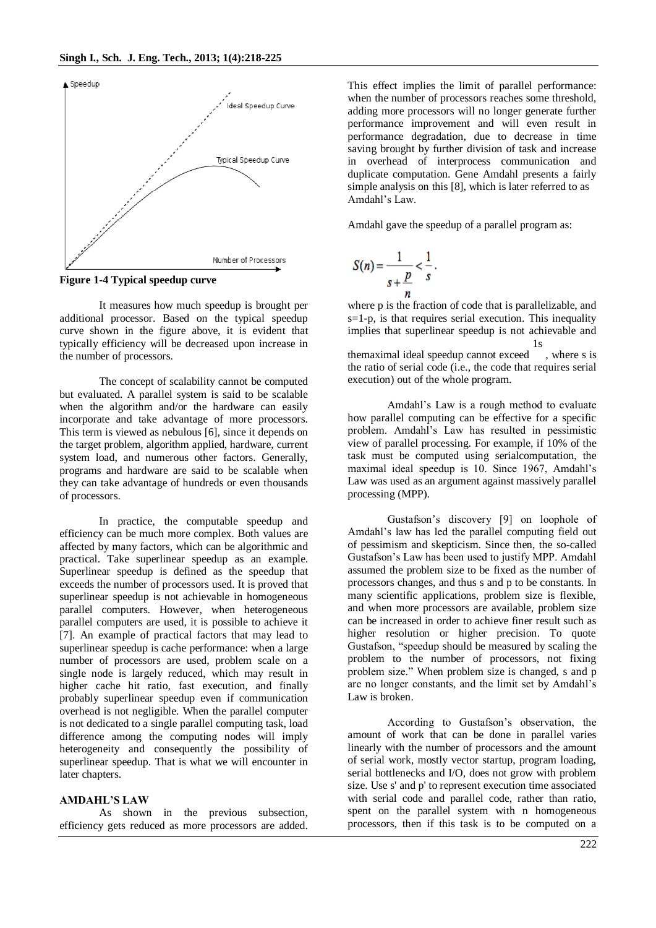

**Figure 1-4 Typical speedup curve**

It measures how much speedup is brought per additional processor. Based on the typical speedup curve shown in the figure above, it is evident that typically efficiency will be decreased upon increase in the number of processors.

The concept of scalability cannot be computed but evaluated. A parallel system is said to be scalable when the algorithm and/or the hardware can easily incorporate and take advantage of more processors. This term is viewed as nebulous [6], since it depends on the target problem, algorithm applied, hardware, current system load, and numerous other factors. Generally, programs and hardware are said to be scalable when they can take advantage of hundreds or even thousands of processors.

In practice, the computable speedup and efficiency can be much more complex. Both values are affected by many factors, which can be algorithmic and practical. Take superlinear speedup as an example. Superlinear speedup is defined as the speedup that exceeds the number of processors used. It is proved that superlinear speedup is not achievable in homogeneous parallel computers. However, when heterogeneous parallel computers are used, it is possible to achieve it [7]. An example of practical factors that may lead to superlinear speedup is cache performance: when a large number of processors are used, problem scale on a single node is largely reduced, which may result in higher cache hit ratio, fast execution, and finally probably superlinear speedup even if communication overhead is not negligible. When the parallel computer is not dedicated to a single parallel computing task, load difference among the computing nodes will imply heterogeneity and consequently the possibility of superlinear speedup. That is what we will encounter in later chapters.

#### **AMDAHL'S LAW**

As shown in the previous subsection, efficiency gets reduced as more processors are added.

This effect implies the limit of parallel performance: when the number of processors reaches some threshold, adding more processors will no longer generate further performance improvement and will even result in performance degradation, due to decrease in time saving brought by further division of task and increase in overhead of interprocess communication and duplicate computation. Gene Amdahl presents a fairly simple analysis on this [8], which is later referred to as Amdahl's Law.

Amdahl gave the speedup of a parallel program as:

$$
S(n) = \frac{1}{s + \frac{p}{n}} < \frac{1}{s}.
$$

where p is the fraction of code that is parallelizable, and  $s=1-p$ , is that requires serial execution. This inequality implies that superlinear speedup is not achievable and themaximal ideal speedup cannot exceed 1s , where s is the ratio of serial code (i.e., the code that requires serial execution) out of the whole program.

Amdahl's Law is a rough method to evaluate how parallel computing can be effective for a specific problem. Amdahl's Law has resulted in pessimistic view of parallel processing. For example, if 10% of the task must be computed using serialcomputation, the maximal ideal speedup is 10. Since 1967, Amdahl's Law was used as an argument against massively parallel processing (MPP).

Gustafson's discovery [9] on loophole of Amdahl's law has led the parallel computing field out of pessimism and skepticism. Since then, the so-called Gustafson's Law has been used to justify MPP. Amdahl assumed the problem size to be fixed as the number of processors changes, and thus s and p to be constants. In many scientific applications, problem size is flexible, and when more processors are available, problem size can be increased in order to achieve finer result such as higher resolution or higher precision. To quote Gustafson, "speedup should be measured by scaling the problem to the number of processors, not fixing problem size." When problem size is changed, s and p are no longer constants, and the limit set by Amdahl's Law is broken.

According to Gustafson's observation, the amount of work that can be done in parallel varies linearly with the number of processors and the amount of serial work, mostly vector startup, program loading, serial bottlenecks and I/O, does not grow with problem size. Use s' and p' to represent execution time associated with serial code and parallel code, rather than ratio, spent on the parallel system with n homogeneous processors, then if this task is to be computed on a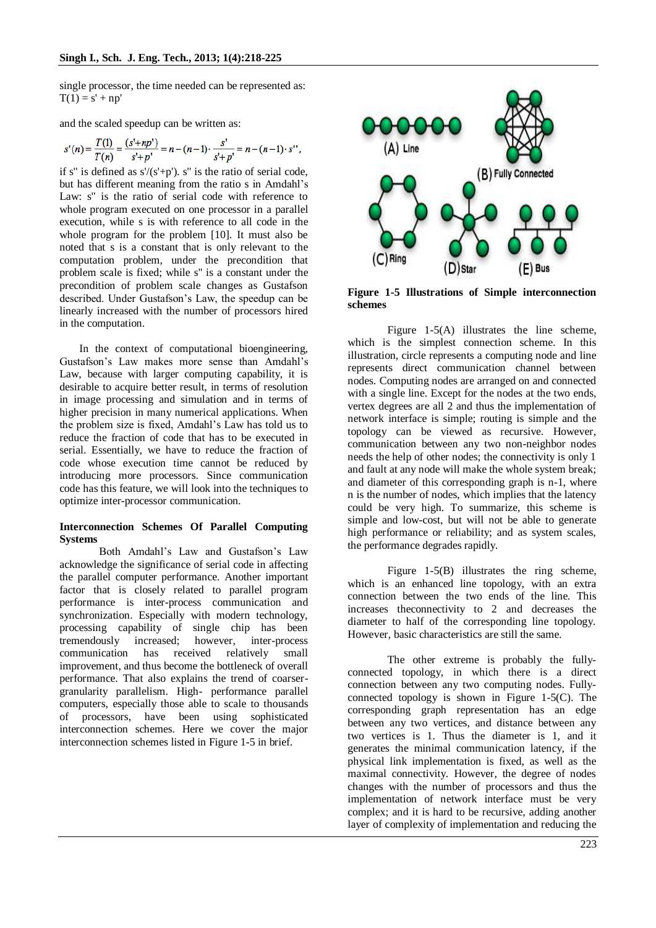single processor, the time needed can be represented as:  $T(1) = s' + np'$ 

and the scaled speedup can be written as:

$$
s'(n) = \frac{T(1)}{T(n)} = \frac{(s'+np')}{s'+p'} = n - (n-1) \cdot \frac{s'}{s'+p'} = n - (n-1) \cdot s''
$$

if s" is defined as  $s'/(s'+p')$ . s" is the ratio of serial code, but has different meaning from the ratio s in Amdahl's Law: s" is the ratio of serial code with reference to whole program executed on one processor in a parallel execution, while s is with reference to all code in the whole program for the problem [10]. It must also be noted that s is a constant that is only relevant to the computation problem, under the precondition that problem scale is fixed; while s'' is a constant under the precondition of problem scale changes as Gustafson described. Under Gustafson's Law, the speedup can be linearly increased with the number of processors hired in the computation.

In the context of computational bioengineering, Gustafson's Law makes more sense than Amdahl's Law, because with larger computing capability, it is desirable to acquire better result, in terms of resolution in image processing and simulation and in terms of higher precision in many numerical applications. When the problem size is fixed, Amdahl's Law has told us to reduce the fraction of code that has to be executed in serial. Essentially, we have to reduce the fraction of code whose execution time cannot be reduced by introducing more processors. Since communication code has this feature, we will look into the techniques to optimize inter-processor communication.

#### **Interconnection Schemes Of Parallel Computing Systems**

Both Amdahl's Law and Gustafson's Law acknowledge the significance of serial code in affecting the parallel computer performance. Another important factor that is closely related to parallel program performance is inter-process communication and synchronization. Especially with modern technology, processing capability of single chip has been tremendously increased; however, inter-process communication has received relatively small improvement, and thus become the bottleneck of overall performance. That also explains the trend of coarsergranularity parallelism. High- performance parallel computers, especially those able to scale to thousands of processors, have been using sophisticated interconnection schemes. Here we cover the major interconnection schemes listed in Figure 1-5 in brief.

![](_page_5_Figure_8.jpeg)

**Figure 1-5 Illustrations of Simple interconnection schemes**

Figure 1-5(A) illustrates the line scheme, which is the simplest connection scheme. In this illustration, circle represents a computing node and line represents direct communication channel between nodes. Computing nodes are arranged on and connected with a single line. Except for the nodes at the two ends, vertex degrees are all 2 and thus the implementation of network interface is simple; routing is simple and the topology can be viewed as recursive. However, communication between any two non-neighbor nodes needs the help of other nodes; the connectivity is only 1 and fault at any node will make the whole system break; and diameter of this corresponding graph is n-1, where n is the number of nodes, which implies that the latency could be very high. To summarize, this scheme is simple and low-cost, but will not be able to generate high performance or reliability; and as system scales, the performance degrades rapidly.

Figure 1-5(B) illustrates the ring scheme, which is an enhanced line topology, with an extra connection between the two ends of the line. This increases theconnectivity to 2 and decreases the diameter to half of the corresponding line topology. However, basic characteristics are still the same.

The other extreme is probably the fullyconnected topology, in which there is a direct connection between any two computing nodes. Fullyconnected topology is shown in Figure 1-5(C). The corresponding graph representation has an edge between any two vertices, and distance between any two vertices is 1. Thus the diameter is 1, and it generates the minimal communication latency, if the physical link implementation is fixed, as well as the maximal connectivity. However, the degree of nodes changes with the number of processors and thus the implementation of network interface must be very complex; and it is hard to be recursive, adding another layer of complexity of implementation and reducing the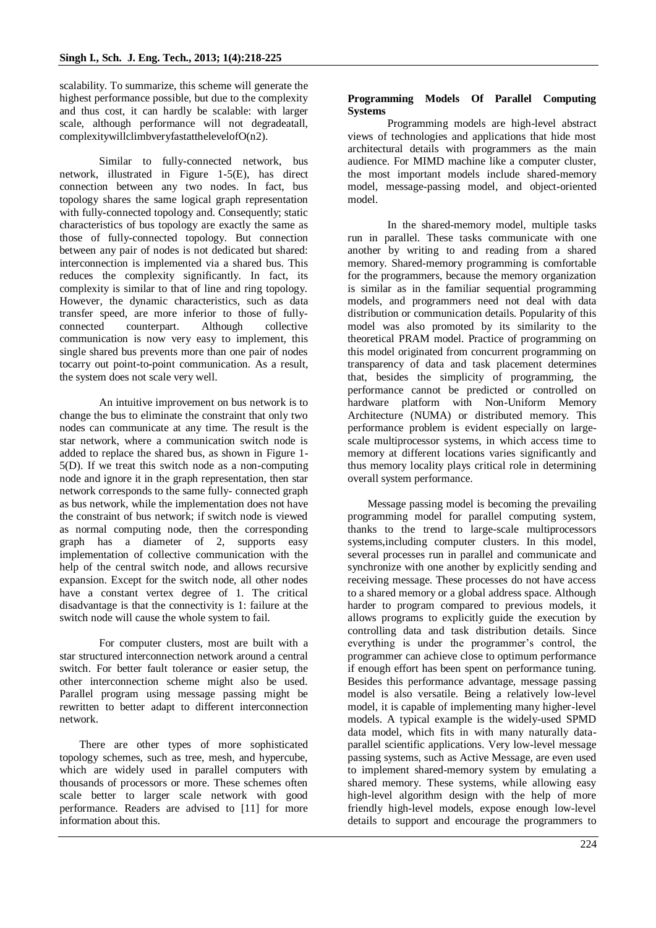scalability. To summarize, this scheme will generate the highest performance possible, but due to the complexity and thus cost, it can hardly be scalable: with larger scale, although performance will not degradeatall, complexitywillclimbveryfastatthelevelofO(n2).

Similar to fully-connected network, bus network, illustrated in Figure 1-5(E), has direct connection between any two nodes. In fact, bus topology shares the same logical graph representation with fully-connected topology and. Consequently; static characteristics of bus topology are exactly the same as those of fully-connected topology. But connection between any pair of nodes is not dedicated but shared: interconnection is implemented via a shared bus. This reduces the complexity significantly. In fact, its complexity is similar to that of line and ring topology. However, the dynamic characteristics, such as data transfer speed, are more inferior to those of fullyconnected counterpart. Although collective communication is now very easy to implement, this single shared bus prevents more than one pair of nodes tocarry out point-to-point communication. As a result, the system does not scale very well.

An intuitive improvement on bus network is to change the bus to eliminate the constraint that only two nodes can communicate at any time. The result is the star network, where a communication switch node is added to replace the shared bus, as shown in Figure 1- 5(D). If we treat this switch node as a non-computing node and ignore it in the graph representation, then star network corresponds to the same fully- connected graph as bus network, while the implementation does not have the constraint of bus network; if switch node is viewed as normal computing node, then the corresponding graph has a diameter of 2, supports easy implementation of collective communication with the help of the central switch node, and allows recursive expansion. Except for the switch node, all other nodes have a constant vertex degree of 1. The critical disadvantage is that the connectivity is 1: failure at the switch node will cause the whole system to fail.

For computer clusters, most are built with a star structured interconnection network around a central switch. For better fault tolerance or easier setup, the other interconnection scheme might also be used. Parallel program using message passing might be rewritten to better adapt to different interconnection network.

There are other types of more sophisticated topology schemes, such as tree, mesh, and hypercube, which are widely used in parallel computers with thousands of processors or more. These schemes often scale better to larger scale network with good performance. Readers are advised to [11] for more information about this.

## **Programming Models Of Parallel Computing Systems**

Programming models are high-level abstract views of technologies and applications that hide most architectural details with programmers as the main audience. For MIMD machine like a computer cluster, the most important models include shared-memory model, message-passing model, and object-oriented model.

In the shared-memory model, multiple tasks run in parallel. These tasks communicate with one another by writing to and reading from a shared memory. Shared-memory programming is comfortable for the programmers, because the memory organization is similar as in the familiar sequential programming models, and programmers need not deal with data distribution or communication details. Popularity of this model was also promoted by its similarity to the theoretical PRAM model. Practice of programming on this model originated from concurrent programming on transparency of data and task placement determines that, besides the simplicity of programming, the performance cannot be predicted or controlled on hardware platform with Non-Uniform Memory Architecture (NUMA) or distributed memory. This performance problem is evident especially on largescale multiprocessor systems, in which access time to memory at different locations varies significantly and thus memory locality plays critical role in determining overall system performance.

Message passing model is becoming the prevailing programming model for parallel computing system, thanks to the trend to large-scale multiprocessors systems,including computer clusters. In this model, several processes run in parallel and communicate and synchronize with one another by explicitly sending and receiving message. These processes do not have access to a shared memory or a global address space. Although harder to program compared to previous models, it allows programs to explicitly guide the execution by controlling data and task distribution details. Since everything is under the programmer's control, the programmer can achieve close to optimum performance if enough effort has been spent on performance tuning. Besides this performance advantage, message passing model is also versatile. Being a relatively low-level model, it is capable of implementing many higher-level models. A typical example is the widely-used SPMD data model, which fits in with many naturally dataparallel scientific applications. Very low-level message passing systems, such as Active Message, are even used to implement shared-memory system by emulating a shared memory. These systems, while allowing easy high-level algorithm design with the help of more friendly high-level models, expose enough low-level details to support and encourage the programmers to